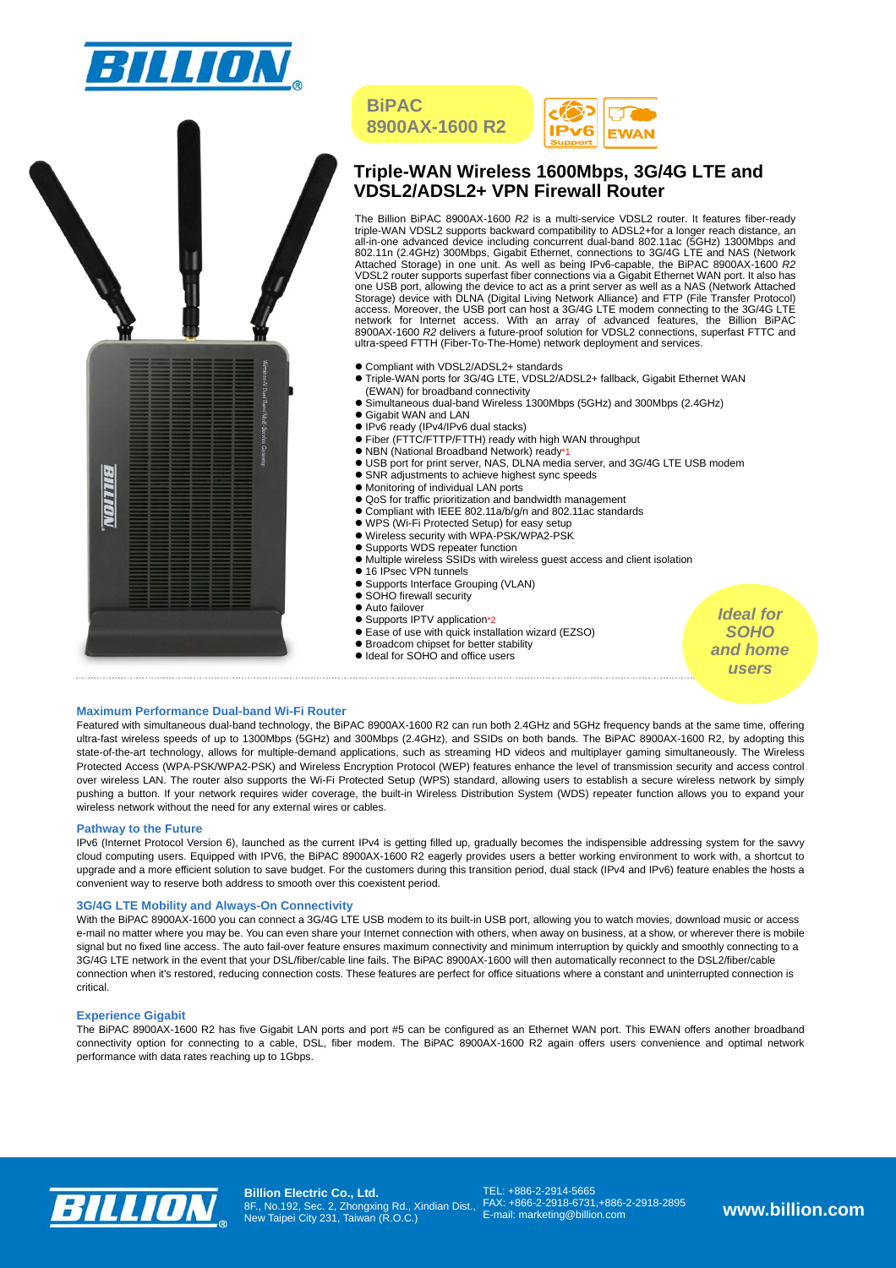





# **Triple-WAN Wireless 1600Mbps, 3G/4G LTE and VDSL2/ADSL2+ VPN Firewall Router**

The Billion BiPAC 8900AX-1600 R2 is a multi-service VDSL2 router. It features fiber-ready<br>triple-WAN VDSL2 supports backward compatibility to ADSL2+for a longer reach distance, an<br>all-in-one advanced device including concu 802.11n (2.4GHz) 300Mbps, Gigabit Ethernet, connections to 3G/4G LTE and NAS (Network Attached Storage) in one unit. As well as being IPv6-capable, the BiPAC 8900AX-1600 *R2* VDSL2 router supports superfast fiber connections via a Gigabit Ethernet WAN port. It also has one USB port, allowing the device to act as a print server as well as a NAS (Network Attached Storage) device with DLNA (Digital Living Network Alliance) and FTP (File Transfer Protocol) access. Moreover, the USB port can host a 3G/4G LTE modem connecting to the 3G/4G LTE network for Internet access. With an array of advanced features, the Billion BiPAC<br>8900AX-1600 R2 delivers a future-proof solution for VDSL2 connections, superfast FTTC and<br>ultra-speed FTTH (Fiber-To-The-Home) network depl

- $\bullet$  Compliant with VDSL2/ADSL2+ standards
- $\bullet$  Triple-WAN ports for 3G/4G LTE, VDSL2/ADSL2+ fallback, Gigabit Ethernet WAN
- (EWAN) for broadband connectivity z Simultaneous dual-band Wireless 1300Mbps (5GHz) and 300Mbps (2.4GHz)
- **•** Gigabit WAN and LAN

**BiPAC** 

- IPv6 ready (IPv4/IPv6 dual stacks)
- Fiber (FTTC/FTTP/FTTH) ready with high WAN throughput
- NBN (National Broadband Network) ready\*1
- $\bullet$  USB port for print server, NAS, DLNA media server, and 3G/4G LTE USB modem
- SNR adjustments to achieve highest sync speeds
- Monitoring of individual LAN ports
- $\bullet$  QoS for traffic prioritization and bandwidth management
- Compliant with IEEE 802.11a/b/g/n and 802.11ac standards
- WPS (Wi-Fi Protected Setup) for easy setup
- $\bullet$  Wireless security with WPA-PSK/WPA2-PSK
- Supports WDS repeater function
- Supports 1125 reporter remements.
- 16 IPsec VPN tunnels
- Supports Interface Grouping (VLAN)
- SOHO firewall security
- 
- Auto failover<br>● Supports IPTV application\*2
- Ease of use with quick installation wizard (EZSO)
- **Broadcom chipset for better stability**
- Ideal for SOHO and office users

*Ideal for SOHO and home users* 

## **Maximum Performance Dual-band Wi-Fi Router**

Featured with simultaneous dual-band technology, the BiPAC 8900AX-1600 R2 can run both 2.4GHz and 5GHz frequency bands at the same time, offering ultra-fast wireless speeds of up to 1300Mbps (5GHz) and 300Mbps (2.4GHz), and SSIDs on both bands. The BiPAC 8900AX-1600 R2, by adopting this state-of-the-art technology, allows for multiple-demand applications, such as streaming HD videos and multiplayer gaming simultaneously. The Wireless Protected Access (WPA-PSK/WPA2-PSK) and Wireless Encryption Protocol (WEP) features enhance the level of transmission security and access control over wireless LAN. The router also supports the Wi-Fi Protected Setup (WPS) standard, allowing users to establish a secure wireless network by simply pushing a button. If your network requires wider coverage, the built-in Wireless Distribution System (WDS) repeater function allows you to expand your wireless network without the need for any external wires or cables.

#### **Pathway to the Future**

IPv6 (Internet Protocol Version 6), launched as the current IPv4 is getting filled up, gradually becomes the indispensible addressing system for the savvy cloud computing users. Equipped with IPV6, the BiPAC 8900AX-1600 R2 eagerly provides users a better working environment to work with, a shortcut to upgrade and a more efficient solution to save budget. For the customers during this transition period, dual stack (IPv4 and IPv6) feature enables the hosts a convenient way to reserve both address to smooth over this coexistent period.

#### **3G/4G LTE Mobility and Always-On Connectivity**

With the BiPAC 8900AX-1600 you can connect a 3G/4G LTE USB modem to its built-in USB port, allowing you to watch movies, download music or access e-mail no matter where you may be. You can even share your Internet connection with others, when away on business, at a show, or wherever there is mobile signal but no fixed line access. The auto fail-over feature ensures maximum connectivity and minimum interruption by quickly and smoothly connecting to a 3G/4G LTE network in the event that your DSL/fiber/cable line fails. The BiPAC 8900AX-1600 will then automatically reconnect to the DSL2/fiber/cable connection when it's restored, reducing connection costs. These features are perfect for office situations where a constant and uninterrupted connection is critical.

#### **Experience Gigabit**

The BiPAC 8900AX-1600 R2 has five Gigabit LAN ports and port #5 can be configured as an Ethernet WAN port. This EWAN offers another broadband connectivity option for connecting to a cable, DSL, fiber modem. The BiPAC 8900AX-1600 R2 again offers users convenience and optimal network performance with data rates reaching up to 1Gbps.



**Billion Electric Co., Ltd.**  8F., No.192, Sec. 2, Zhongxing Rd., Xindian Dist., New Taipei City 231, Taiwan (R.O.C.)

TEL: +886-2-2914-5665 FAX: +866-2-2918-6731,+886-2-2918-2895 E-mail: marketing@billion.com **www.billion.com**